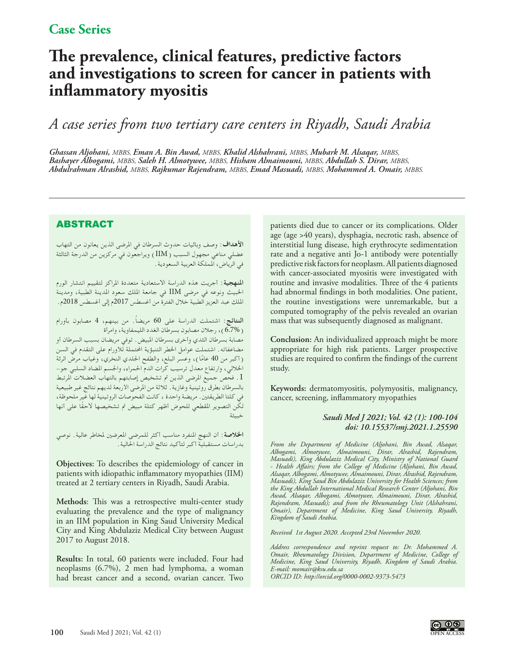# **The prevalence, clinical features, predictive factors and investigations to screen for cancer in patients with inflammatory myositis**

## *A case series from two tertiary care centers in Riyadh, Saudi Arabia*

*Ghassan Aljohani, MBBS, Eman A. Bin Awad, MBBS, Khalid Alshahrani, MBBS, Mubark M. Alsaqar, MBBS, Bashayer Albogami, MBBS, Saleh H. Almotywee, MBBS, Hisham Almaimouni, MBBS, Abdullah S. Dirar, MBBS, Abdulrahman Alrashid, MBBS, Rajkumar Rajendram, MBBS, Emad Masuadi, MBBS, Mohammed A. Omair, MBBS.*

## ABSTRACT

**األهداف**: وصف وبائيات حدوث السرطان في املرضى الذين يعانون من التهاب عضلي مناعي مجهول السبب )IIM )ويراجعون في مركزين من الدرجة الثالثة في الرياض، اململكة العربية السعودية.

**املنهجية**: أجريت هذه الدراسة االستعادية متعددة املراكز لتقييم انتشار الورم اخلبيث ونوعه في مرضى IIM في جامعة امللك سعود املدينة الطبية، ومدينة امللك عبد العزيز الطبية خالل الفترة من أغسطس 2017م إلى أغسطس 2018م.

**النتائج**: اشتملت الدراسة على 60 ً مريضا. من بينهم، 4 مصابون بأورام )6.7%(، رجالن مصابون بسرطان الغدد الليمفاوية، وامرأة مصابة بسرطان الثدي وأخرى بسرطان املبيض. توفي مريضان بسبب السرطان أو مضاعفاته. اشتملت عوامل الخطر التنبؤية المحتملة للأورام على التقدم في السن (1كبر من 40 عامًا)، وعسر البلع، والطفح الجلدي النخري، وغياب مرض الرئة اخلاللي، وارتفاع معدل ترسيب كرات الدم احلمراء، واجلسم املضاد السلبي جو- .1 فحص جميع املرضى الذين مت تشخيص إصابتهم بالتهاب العضالت املرتبط بالسرطان بطرق روتينية وغازية. ثالثة من املرضى األربعة لديهم نتائج غير طبيعية في كلتا الطريقتني. مريضة واحدة ، كانت الفحوصات الروتينية لها غير ملحوظة، ً لكن التصوير املقطعي للحوض أظهر كتلة مبيض مت تشخيصها الحقا على أنها خبيثة

**اخلالصة**: أن النهج املنفرد مناسب أكثر للمرضى املعرضني ملخاطر عالية. نوصي بدراسات مستقبلية أكبر لتأكيد نتائج الدراسة احلالية.

**Objectives:** To describes the epidemiology of cancer in patients with idiopathic inflammatory myopathies (IIM) treated at 2 tertiary centers in Riyadh, Saudi Arabia.

**Methods**: This was a retrospective multi-center study evaluating the prevalence and the type of malignancy in an IIM population in King Saud University Medical City and King Abdulaziz Medical City between August 2017 to August 2018.

**Results:** In total, 60 patients were included. Four had neoplasms (6.7%), 2 men had lymphoma, a woman had breast cancer and a second, ovarian cancer. Two

patients died due to cancer or its complications. Older age (age >40 years), dysphagia, necrotic rash, absence of interstitial lung disease, high erythrocyte sedimentation rate and a negative anti Jo-1 antibody were potentially predictive risk factors for neoplasm. All patients diagnosed with cancer-associated myositis were investigated with routine and invasive modalities. Three of the 4 patients had abnormal findings in both modalities. One patient, the routine investigations were unremarkable, but a computed tomography of the pelvis revealed an ovarian mass that was subsequently diagnosed as malignant.

**Conclusion:** An individualized approach might be more appropriate for high risk patients. Larger prospective studies are required to confirm the findings of the current study.

**Keywords:** dermatomyositis, polymyositis, malignancy, cancer, screening, inflammatory myopathies

#### *Saudi Med J 2021; Vol. 42 (1): 100-104 doi: 10.15537/smj.2021.1.25590*

*From the Department of Medicine (Aljohani, Bin Awad, Alsaqar, Albogami, Almotywee, Almaimouni, Dirar, Alrashid, Rajendram, Masuadi), King Abdulaziz Medical City, Ministry of National Guard - Health Affairs; from the College of Medicine (Aljohani, Bin Awad, Alsaqar, Albogami, Almotywee, Almaimouni, Dirar, Alrashid, Rajendram, Masuadi), King Saud Bin Abdulaziz University for Health Sciences; from the King Abdullah International Medical Research Center (Aljohani, Bin Awad, Alsaqar, Albogami, Almotywee, Almaimouni, Dirar, Alrashid, Rajendram, Masuadi); and from the Rheumatology Unit (Alshahrani, Omair), Department of Medicine, King Saud University, Riyadh, Kingdom of Saudi Arabia.*

*Received 1st August 2020. Accepted 23rd November 2020.*

*Address correspondence and reprint request to: Dr. Mohammed A. Omair, Rheumatology Division, Department of Medicine, College of Medicine, King Saud University, Riyadh, Kingdom of Saudi Arabia. E-mail: momair@ksu.edu.sa ORCID ID: http://orcid.org/0000-0002-9373-5473* 

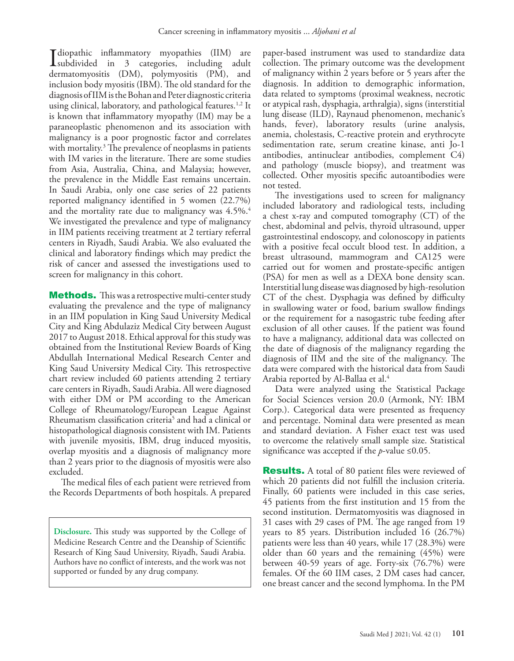Idiopathic inflammatory myopathies (IIM) are<br>subdivided in 3 categories, including adult<br>damageometric (DM) submarries (DM) and I diopathic inflammatory myopathies (IIM) are dermatomyositis (DM), polymyositis (PM), and inclusion body myositis (IBM). The old standard for the diagnosis of IIM is the Bohan and Peter diagnostic criteria using clinical, laboratory, and pathological features.<sup>1,2</sup> It is known that inflammatory myopathy (IM) may be a paraneoplastic phenomenon and its association with malignancy is a poor prognostic factor and correlates with mortality.3 The prevalence of neoplasms in patients with IM varies in the literature. There are some studies from Asia, Australia, China, and Malaysia; however, the prevalence in the Middle East remains uncertain. In Saudi Arabia, only one case series of 22 patients reported malignancy identified in 5 women (22.7%) and the mortality rate due to malignancy was  $4.5\%$ <sup>4</sup> We investigated the prevalence and type of malignancy in IIM patients receiving treatment at 2 tertiary referral centers in Riyadh, Saudi Arabia. We also evaluated the clinical and laboratory findings which may predict the risk of cancer and assessed the investigations used to screen for malignancy in this cohort.

**Methods.** This was a retrospective multi-center study evaluating the prevalence and the type of malignancy in an IIM population in King Saud University Medical City and King Abdulaziz Medical City between August 2017 to August 2018. Ethical approval for this study was obtained from the Institutional Review Boards of King Abdullah International Medical Research Center and King Saud University Medical City. This retrospective chart review included 60 patients attending 2 tertiary care centers in Riyadh, Saudi Arabia. All were diagnosed with either DM or PM according to the American College of Rheumatology/European League Against Rheumatism classification criteria<sup>5</sup> and had a clinical or histopathological diagnosis consistent with IM. Patients with juvenile myositis, IBM, drug induced myositis, overlap myositis and a diagnosis of malignancy more than 2 years prior to the diagnosis of myositis were also excluded.

The medical files of each patient were retrieved from the Records Departments of both hospitals. A prepared

**Disclosure.** This study was supported by the College of Medicine Research Centre and the Deanship of Scientific Research of King Saud University, Riyadh, Saudi Arabia. Authors have no conflict of interests, and the work was not supported or funded by any drug company.

paper-based instrument was used to standardize data collection. The primary outcome was the development of malignancy within 2 years before or 5 years after the diagnosis. In addition to demographic information, data related to symptoms (proximal weakness, necrotic or atypical rash, dysphagia, arthralgia), signs (interstitial lung disease (ILD), Raynaud phenomenon, mechanic's hands, fever), laboratory results (urine analysis, anemia, cholestasis, C-reactive protein and erythrocyte sedimentation rate, serum creatine kinase, anti Jo-1 antibodies, antinuclear antibodies, complement C4) and pathology (muscle biopsy), and treatment was collected. Other myositis specific autoantibodies were not tested.

The investigations used to screen for malignancy included laboratory and radiological tests, including a chest x-ray and computed tomography (CT) of the chest, abdominal and pelvis, thyroid ultrasound, upper gastrointestinal endoscopy, and colonoscopy in patients with a positive fecal occult blood test. In addition, a breast ultrasound, mammogram and CA125 were carried out for women and prostate-specific antigen (PSA) for men as well as a DEXA bone density scan. Interstitial lung disease was diagnosed by high-resolution CT of the chest. Dysphagia was defined by difficulty in swallowing water or food, barium swallow findings or the requirement for a nasogastric tube feeding after exclusion of all other causes. If the patient was found to have a malignancy, additional data was collected on the date of diagnosis of the malignancy regarding the diagnosis of IIM and the site of the malignancy. The data were compared with the historical data from Saudi Arabia reported by Al-Ballaa et al.<sup>4</sup>

Data were analyzed using the Statistical Package for Social Sciences version 20.0 (Armonk, NY: IBM Corp.). Categorical data were presented as frequency and percentage. Nominal data were presented as mean and standard deviation. A Fisher exact test was used to overcome the relatively small sample size. Statistical significance was accepted if the *p*-value  $\leq 0.05$ .

**Results.** A total of 80 patient files were reviewed of which 20 patients did not fulfill the inclusion criteria. Finally, 60 patients were included in this case series, 45 patients from the first institution and 15 from the second institution. Dermatomyositis was diagnosed in 31 cases with 29 cases of PM. The age ranged from 19 years to 85 years. Distribution included 16 (26.7%) patients were less than 40 years, while 17 (28.3%) were older than 60 years and the remaining (45%) were between 40-59 years of age. Forty-six (76.7%) were females. Of the 60 IIM cases, 2 DM cases had cancer, one breast cancer and the second lymphoma. In the PM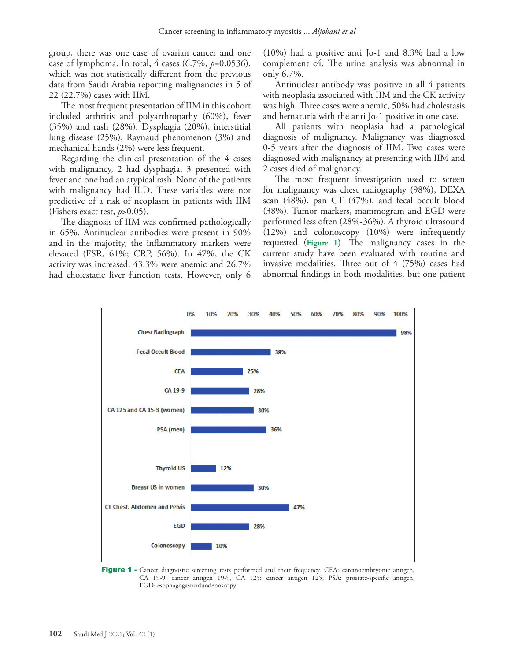group, there was one case of ovarian cancer and one case of lymphoma. In total, 4 cases (6.7%, *p*=0.0536), which was not statistically different from the previous data from Saudi Arabia reporting malignancies in 5 of 22 (22.7%) cases with IIM.

The most frequent presentation of IIM in this cohort included arthritis and polyarthropathy (60%), fever (35%) and rash (28%). Dysphagia (20%), interstitial lung disease (25%), Raynaud phenomenon (3%) and mechanical hands (2%) were less frequent.

Regarding the clinical presentation of the 4 cases with malignancy, 2 had dysphagia, 3 presented with fever and one had an atypical rash. None of the patients with malignancy had ILD. These variables were not predictive of a risk of neoplasm in patients with IIM (Fishers exact test, *p*>0.05).

The diagnosis of IIM was confirmed pathologically in 65%. Antinuclear antibodies were present in 90% and in the majority, the inflammatory markers were elevated (ESR, 61%; CRP, 56%). In 47%, the CK activity was increased, 43.3% were anemic and 26.7% had cholestatic liver function tests. However, only 6 (10%) had a positive anti Jo-1 and 8.3% had a low complement c4. The urine analysis was abnormal in only 6.7%.

Antinuclear antibody was positive in all 4 patients with neoplasia associated with IIM and the CK activity was high. Three cases were anemic, 50% had cholestasis and hematuria with the anti Jo-1 positive in one case.

All patients with neoplasia had a pathological diagnosis of malignancy. Malignancy was diagnosed 0-5 years after the diagnosis of IIM. Two cases were diagnosed with malignancy at presenting with IIM and 2 cases died of malignancy.

The most frequent investigation used to screen for malignancy was chest radiography (98%), DEXA scan (48%), pan CT (47%), and fecal occult blood (38%). Tumor markers, mammogram and EGD were performed less often (28%-36%). A thyroid ultrasound (12%) and colonoscopy (10%) were infrequently requested (**Figure 1**). The malignancy cases in the current study have been evaluated with routine and invasive modalities. Three out of 4 (75%) cases had abnormal findings in both modalities, but one patient



Figure 1 - Cancer diagnostic screening tests performed and their frequency. CEA: carcinoembryonic antigen, CA 19-9: cancer antigen 19-9, CA 125: cancer antigen 125, PSA: prostate-specific antigen, EGD: esophagogastroduodenoscopy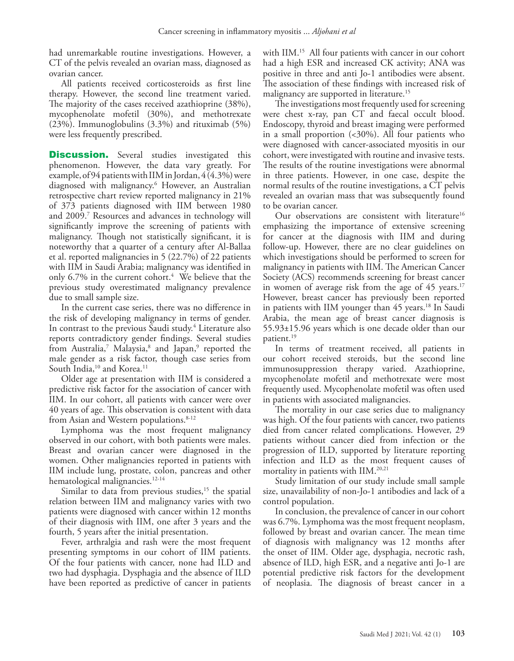had unremarkable routine investigations. However, a CT of the pelvis revealed an ovarian mass, diagnosed as ovarian cancer.

All patients received corticosteroids as first line therapy. However, the second line treatment varied. The majority of the cases received azathioprine (38%), mycophenolate mofetil (30%), and methotrexate (23%). Immunoglobulins (3.3%) and rituximab (5%) were less frequently prescribed.

**Discussion.** Several studies investigated this phenomenon. However, the data vary greatly. For example, of 94 patients with IIM in Jordan, 4 (4.3%) were diagnosed with malignancy.6 However, an Australian retrospective chart review reported malignancy in 21% of 373 patients diagnosed with IIM between 1980 and 2009.7 Resources and advances in technology will significantly improve the screening of patients with malignancy. Though not statistically significant, it is noteworthy that a quarter of a century after Al-Ballaa et al. reported malignancies in 5 (22.7%) of 22 patients with IIM in Saudi Arabia; malignancy was identified in only 6.7% in the current cohort. $4$  We believe that the previous study overestimated malignancy prevalence due to small sample size.

In the current case series, there was no difference in the risk of developing malignancy in terms of gender. In contrast to the previous Saudi study.4 Literature also reports contradictory gender findings. Several studies from Australia,<sup>7</sup> Malaysia,<sup>8</sup> and Japan,<sup>9</sup> reported the male gender as a risk factor, though case series from South India,<sup>10</sup> and Korea.<sup>11</sup>

Older age at presentation with IIM is considered a predictive risk factor for the association of cancer with IIM. In our cohort, all patients with cancer were over 40 years of age. This observation is consistent with data from Asian and Western populations.8-12

Lymphoma was the most frequent malignancy observed in our cohort, with both patients were males. Breast and ovarian cancer were diagnosed in the women. Other malignancies reported in patients with IIM include lung, prostate, colon, pancreas and other hematological malignancies.<sup>12-14</sup>

Similar to data from previous studies, $15$  the spatial relation between IIM and malignancy varies with two patients were diagnosed with cancer within 12 months of their diagnosis with IIM, one after 3 years and the fourth, 5 years after the initial presentation.

Fever, arthralgia and rash were the most frequent presenting symptoms in our cohort of IIM patients. Of the four patients with cancer, none had ILD and two had dysphagia. Dysphagia and the absence of ILD have been reported as predictive of cancer in patients

with IIM.<sup>15</sup> All four patients with cancer in our cohort had a high ESR and increased CK activity; ANA was positive in three and anti Jo-1 antibodies were absent. The association of these findings with increased risk of malignancy are supported in literature.<sup>15</sup>

The investigations most frequently used for screening were chest x-ray, pan CT and faecal occult blood. Endoscopy, thyroid and breast imaging were performed in a small proportion  $\left( <\frac{30}{\%} \right)$ . All four patients who were diagnosed with cancer-associated myositis in our cohort, were investigated with routine and invasive tests. The results of the routine investigations were abnormal in three patients. However, in one case, despite the normal results of the routine investigations, a CT pelvis revealed an ovarian mass that was subsequently found to be ovarian cancer.

Our observations are consistent with literature<sup>16</sup> emphasizing the importance of extensive screening for cancer at the diagnosis with IIM and during follow-up. However, there are no clear guidelines on which investigations should be performed to screen for malignancy in patients with IIM. The American Cancer Society (ACS) recommends screening for breast cancer in women of average risk from the age of 45 years.<sup>17</sup> However, breast cancer has previously been reported in patients with IIM younger than  $45$  years.<sup>18</sup> In Saudi Arabia, the mean age of breast cancer diagnosis is 55.93±15.96 years which is one decade older than our patient.19

In terms of treatment received, all patients in our cohort received steroids, but the second line immunosuppression therapy varied. Azathioprine, mycophenolate mofetil and methotrexate were most frequently used. Mycophenolate mofetil was often used in patients with associated malignancies.

The mortality in our case series due to malignancy was high. Of the four patients with cancer, two patients died from cancer related complications. However, 29 patients without cancer died from infection or the progression of ILD, supported by literature reporting infection and ILD as the most frequent causes of mortality in patients with IIM.20,21

Study limitation of our study include small sample size, unavailability of non-Jo-1 antibodies and lack of a control population.

In conclusion, the prevalence of cancer in our cohort was 6.7%. Lymphoma was the most frequent neoplasm, followed by breast and ovarian cancer. The mean time of diagnosis with malignancy was 12 months after the onset of IIM. Older age, dysphagia, necrotic rash, absence of ILD, high ESR, and a negative anti Jo-1 are potential predictive risk factors for the development of neoplasia. The diagnosis of breast cancer in a